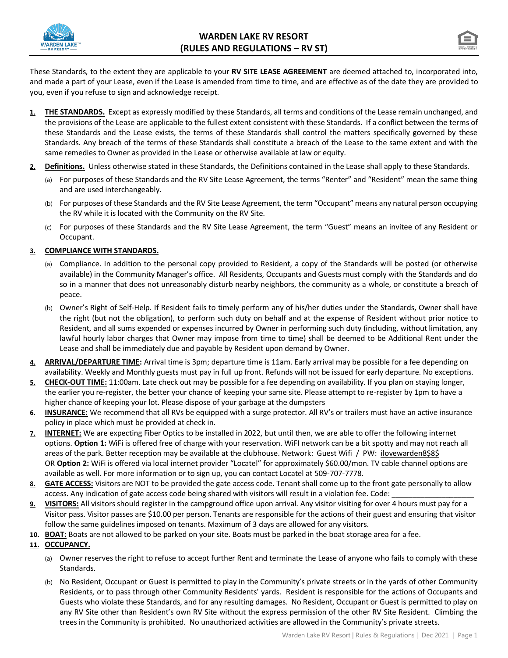



These Standards, to the extent they are applicable to your **RV SITE LEASE AGREEMENT** are deemed attached to, incorporated into, and made a part of your Lease, even if the Lease is amended from time to time, and are effective as of the date they are provided to you, even if you refuse to sign and acknowledge receipt.

- **1. THE STANDARDS.** Except as expressly modified by these Standards, all terms and conditions of the Lease remain unchanged, and the provisions of the Lease are applicable to the fullest extent consistent with these Standards. If a conflict between the terms of these Standards and the Lease exists, the terms of these Standards shall control the matters specifically governed by these Standards. Any breach of the terms of these Standards shall constitute a breach of the Lease to the same extent and with the same remedies to Owner as provided in the Lease or otherwise available at law or equity.
- **2. Definitions.** Unless otherwise stated in these Standards, the Definitions contained in the Lease shall apply to these Standards.
	- (a) For purposes of these Standards and the RV Site Lease Agreement, the terms "Renter" and "Resident" mean the same thing and are used interchangeably.
	- (b) For purposes of these Standards and the RV Site Lease Agreement, the term "Occupant" means any natural person occupying the RV while it is located with the Community on the RV Site.
	- (c) For purposes of these Standards and the RV Site Lease Agreement, the term "Guest" means an invitee of any Resident or Occupant.

## **3. COMPLIANCE WITH STANDARDS.**

- (a) Compliance. In addition to the personal copy provided to Resident, a copy of the Standards will be posted (or otherwise available) in the Community Manager's office. All Residents, Occupants and Guests must comply with the Standards and do so in a manner that does not unreasonably disturb nearby neighbors, the community as a whole, or constitute a breach of peace.
- (b) Owner's Right of Self-Help. If Resident fails to timely perform any of his/her duties under the Standards, Owner shall have the right (but not the obligation), to perform such duty on behalf and at the expense of Resident without prior notice to Resident, and all sums expended or expenses incurred by Owner in performing such duty (including, without limitation, any lawful hourly labor charges that Owner may impose from time to time) shall be deemed to be Additional Rent under the Lease and shall be immediately due and payable by Resident upon demand by Owner.
- **4. ARRIVAL/DEPARTURE TIME:** Arrival time is 3pm; departure time is 11am. Early arrival may be possible for a fee depending on availability. Weekly and Monthly guests must pay in full up front. Refunds will not be issued for early departure. No exceptions.
- **5. CHECK-OUT TIME:** 11:00am. Late check out may be possible for a fee depending on availability. If you plan on staying longer, the earlier you re-register, the better your chance of keeping your same site. Please attempt to re-register by 1pm to have a higher chance of keeping your lot. Please dispose of your garbage at the dumpsters
- **6. INSURANCE:** We recommend that all RVs be equipped with a surge protector. All RV's or trailers must have an active insurance policy in place which must be provided at check in.
- **7. INTERNET:** We are expecting Fiber Optics to be installed in 2022, but until then, we are able to offer the following internet options. **Option 1:** WiFi is offered free of charge with your reservation. WiFI network can be a bit spotty and may not reach all areas of the park. Better reception may be available at the clubhouse. Network: Guest Wifi / PW: ilovewarden8\$8\$ OR **Option 2:** WiFi is offered via local internet provider "Locatel" for approximately \$60.00/mon. TV cable channel options are available as well. For more information or to sign up, you can contact Locatel at 509-707-7778.
- **8. GATE ACCESS:** Visitors are NOT to be provided the gate access code. Tenant shall come up to the front gate personally to allow access. Any indication of gate access code being shared with visitors will result in a violation fee. Code: \_
- **9. VISITORS:** All visitors should register in the campground office upon arrival. Any visitor visiting for over 4 hours must pay for a Visitor pass. Visitor passes are \$10.00 per person. Tenants are responsible for the actions of their guest and ensuring that visitor follow the same guidelines imposed on tenants. Maximum of 3 days are allowed for any visitors.
- **10. BOAT:** Boats are not allowed to be parked on your site. Boats must be parked in the boat storage area for a fee.

# **11. OCCUPANCY.**

- (a) Owner reserves the right to refuse to accept further Rent and terminate the Lease of anyone who fails to comply with these Standards.
- (b) No Resident, Occupant or Guest is permitted to play in the Community's private streets or in the yards of other Community Residents, or to pass through other Community Residents' yards. Resident is responsible for the actions of Occupants and Guests who violate these Standards, and for any resulting damages. No Resident, Occupant or Guest is permitted to play on any RV Site other than Resident's own RV Site without the express permission of the other RV Site Resident. Climbing the trees in the Community is prohibited. No unauthorized activities are allowed in the Community's private streets.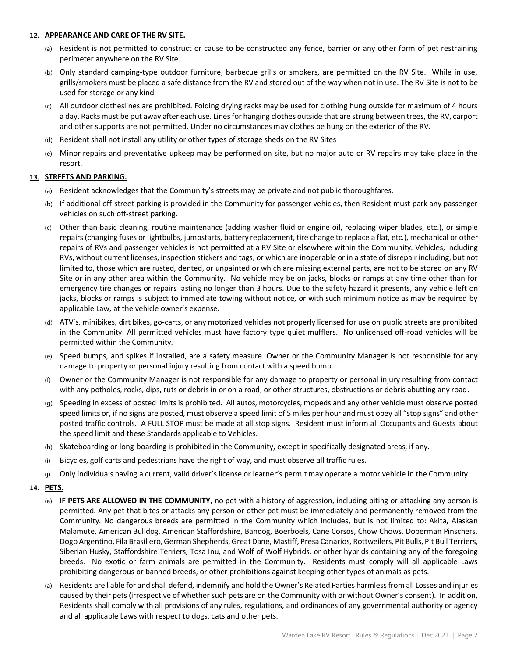#### **12. APPEARANCE AND CARE OF THE RV SITE.**

- (a) Resident is not permitted to construct or cause to be constructed any fence, barrier or any other form of pet restraining perimeter anywhere on the RV Site.
- (b) Only standard camping-type outdoor furniture, barbecue grills or smokers, are permitted on the RV Site. While in use, grills/smokers must be placed a safe distance from the RV and stored out of the way when not in use. The RV Site is not to be used for storage or any kind.
- (c) All outdoor clotheslines are prohibited. Folding drying racks may be used for clothing hung outside for maximum of 4 hours a day. Racks must be put away after each use. Lines for hanging clothes outside that are strung between trees, the RV, carport and other supports are not permitted. Under no circumstances may clothes be hung on the exterior of the RV.
- (d) Resident shall not install any utility or other types of storage sheds on the RV Sites
- (e) Minor repairs and preventative upkeep may be performed on site, but no major auto or RV repairs may take place in the resort.

#### **13. STREETS AND PARKING.**

- (a) Resident acknowledges that the Community's streets may be private and not public thoroughfares.
- (b) If additional off-street parking is provided in the Community for passenger vehicles, then Resident must park any passenger vehicles on such off-street parking.
- (c) Other than basic cleaning, routine maintenance (adding washer fluid or engine oil, replacing wiper blades, etc.), or simple repairs (changing fuses or lightbulbs, jumpstarts, battery replacement, tire change to replace a flat, etc.), mechanical or other repairs of RVs and passenger vehicles is not permitted at a RV Site or elsewhere within the Community. Vehicles, including RVs, without current licenses, inspection stickers and tags, or which are inoperable or in a state of disrepair including, but not limited to, those which are rusted, dented, or unpainted or which are missing external parts, are not to be stored on any RV Site or in any other area within the Community. No vehicle may be on jacks, blocks or ramps at any time other than for emergency tire changes or repairs lasting no longer than 3 hours. Due to the safety hazard it presents, any vehicle left on jacks, blocks or ramps is subject to immediate towing without notice, or with such minimum notice as may be required by applicable Law, at the vehicle owner's expense.
- (d) ATV's, minibikes, dirt bikes, go-carts, or any motorized vehicles not properly licensed for use on public streets are prohibited in the Community. All permitted vehicles must have factory type quiet mufflers. No unlicensed off-road vehicles will be permitted within the Community.
- (e) Speed bumps, and spikes if installed, are a safety measure. Owner or the Community Manager is not responsible for any damage to property or personal injury resulting from contact with a speed bump.
- (f) Owner or the Community Manager is not responsible for any damage to property or personal injury resulting from contact with any potholes, rocks, dips, ruts or debris in or on a road, or other structures, obstructions or debris abutting any road.
- (g) Speeding in excess of posted limits is prohibited. All autos, motorcycles, mopeds and any other vehicle must observe posted speed limits or, if no signs are posted, must observe a speed limit of 5 miles per hour and must obey all "stop signs" and other posted traffic controls. A FULL STOP must be made at all stop signs. Resident must inform all Occupants and Guests about the speed limit and these Standards applicable to Vehicles.
- (h) Skateboarding or long-boarding is prohibited in the Community, except in specifically designated areas, if any.
- (i) Bicycles, golf carts and pedestrians have the right of way, and must observe all traffic rules.
- (j) Only individuals having a current, valid driver's license or learner's permit may operate a motor vehicle in the Community.

#### **14. PETS.**

- (a) **IF PETS ARE ALLOWED IN THE COMMUNITY**, no pet with a history of aggression, including biting or attacking any person is permitted. Any pet that bites or attacks any person or other pet must be immediately and permanently removed from the Community. No dangerous breeds are permitted in the Community which includes, but is not limited to: Akita, Alaskan Malamute, American Bulldog, American Staffordshire, Bandog, Boerboels, Cane Corsos, Chow Chows, Doberman Pinschers, Dogo Argentino, Fila Brasiliero, German Shepherds, Great Dane, Mastiff, Presa Canarios, Rottweilers, Pit Bulls, Pit Bull Terriers, Siberian Husky, Staffordshire Terriers, Tosa Inu, and Wolf of Wolf Hybrids, or other hybrids containing any of the foregoing breeds. No exotic or farm animals are permitted in the Community. Residents must comply will all applicable Laws prohibiting dangerous or banned breeds, or other prohibitions against keeping other types of animals as pets.
- (a) Residents are liable for and shall defend, indemnify and hold the Owner's Related Parties harmless from all Losses and injuries caused by their pets (irrespective of whether such pets are on the Community with or without Owner's consent). In addition, Residents shall comply with all provisions of any rules, regulations, and ordinances of any governmental authority or agency and all applicable Laws with respect to dogs, cats and other pets.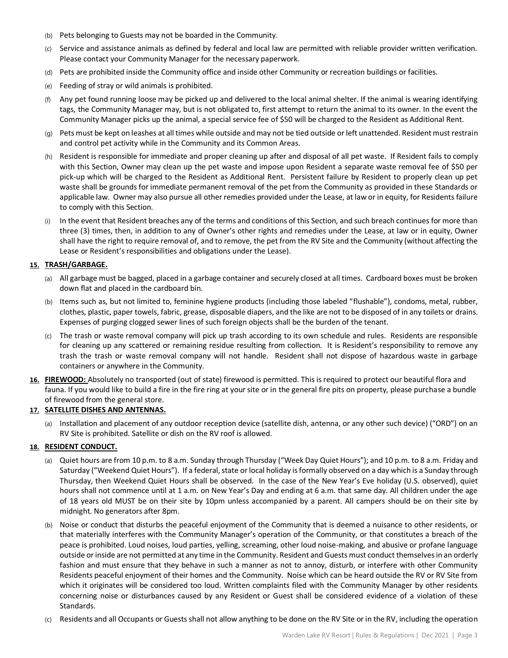- (b) Pets belonging to Guests may not be boarded in the Community.
- (c) Service and assistance animals as defined by federal and local law are permitted with reliable provider written verification. Please contact your Community Manager for the necessary paperwork.
- (d) Pets are prohibited inside the Community office and inside other Community or recreation buildings or facilities.
- (e) Feeding of stray or wild animals is prohibited.
- (f) Any pet found running loose may be picked up and delivered to the local animal shelter. If the animal is wearing identifying tags, the Community Manager may, but is not obligated to, first attempt to return the animal to its owner. In the event the Community Manager picks up the animal, a special service fee of \$50 will be charged to the Resident as Additional Rent.
- (g) Pets must be kept on leashes at all times while outside and may not be tied outside or left unattended. Resident must restrain and control pet activity while in the Community and its Common Areas.
- (h) Resident is responsible for immediate and proper cleaning up after and disposal of all pet waste. If Resident fails to comply with this Section, Owner may clean up the pet waste and impose upon Resident a separate waste removal fee of \$50 per pick-up which will be charged to the Resident as Additional Rent. Persistent failure by Resident to properly clean up pet waste shall be grounds for immediate permanent removal of the pet from the Community as provided in these Standards or applicable law. Owner may also pursue all other remedies provided under the Lease, at law or in equity, for Residents failure to comply with this Section.
- (i) In the event that Resident breaches any of the terms and conditions of this Section, and such breach continues for more than three (3) times, then, in addition to any of Owner's other rights and remedies under the Lease, at law or in equity, Owner shall have the right to require removal of, and to remove, the pet from the RV Site and the Community (without affecting the Lease or Resident's responsibilities and obligations under the Lease).

#### **15. TRASH/GARBAGE.**

- (a) All garbage must be bagged, placed in a garbage container and securely closed at all times. Cardboard boxes must be broken down flat and placed in the cardboard bin.
- (b) Items such as, but not limited to, feminine hygiene products (including those labeled "flushable"), condoms, metal, rubber, clothes, plastic, paper towels, fabric, grease, disposable diapers, and the like are not to be disposed of in any toilets or drains. Expenses of purging clogged sewer lines of such foreign objects shall be the burden of the tenant.
- (c) The trash or waste removal company will pick up trash according to its own schedule and rules. Residents are responsible for cleaning up any scattered or remaining residue resulting from collection. It is Resident's responsibility to remove any trash the trash or waste removal company will not handle. Resident shall not dispose of hazardous waste in garbage containers or anywhere in the Community.
- **16. FIREWOOD:** Absolutely no transported (out of state) firewood is permitted. This is required to protect our beautiful flora and fauna. If you would like to build a fire in the fire ring at your site or in the general fire pits on property, please purchase a bundle of firewood from the general store.

### **17. SATELLITE DISHES AND ANTENNAS.**

(a) Installation and placement of any outdoor reception device (satellite dish, antenna, or any other such device) ("ORD") on an RV Site is prohibited. Satellite or dish on the RV roof is allowed.

#### **18. RESIDENT CONDUCT.**

- (a) Quiet hours are from 10 p.m. to 8 a.m. Sunday through Thursday ("Week Day Quiet Hours"); and 10 p.m. to 8 a.m. Friday and Saturday ("Weekend Quiet Hours"). If a federal, state or local holiday is formally observed on a day which is a Sunday through Thursday, then Weekend Quiet Hours shall be observed. In the case of the New Year's Eve holiday (U.S. observed), quiet hours shall not commence until at 1 a.m. on New Year's Day and ending at 6 a.m. that same day. All children under the age of 18 years old MUST be on their site by 10pm unless accompanied by a parent. All campers should be on their site by midnight. No generators after 8pm.
- (b) Noise or conduct that disturbs the peaceful enjoyment of the Community that is deemed a nuisance to other residents, or that materially interferes with the Community Manager's operation of the Community, or that constitutes a breach of the peace is prohibited. Loud noises, loud parties, yelling, screaming, other loud noise-making, and abusive or profane language outside or inside are not permitted at any time in the Community. Resident and Guests must conduct themselves in an orderly fashion and must ensure that they behave in such a manner as not to annoy, disturb, or interfere with other Community Residents peaceful enjoyment of their homes and the Community. Noise which can be heard outside the RV or RV Site from which it originates will be considered too loud. Written complaints filed with the Community Manager by other residents concerning noise or disturbances caused by any Resident or Guest shall be considered evidence of a violation of these Standards.
- (c) Residents and all Occupants or Guests shall not allow anything to be done on the RV Site or in the RV, including the operation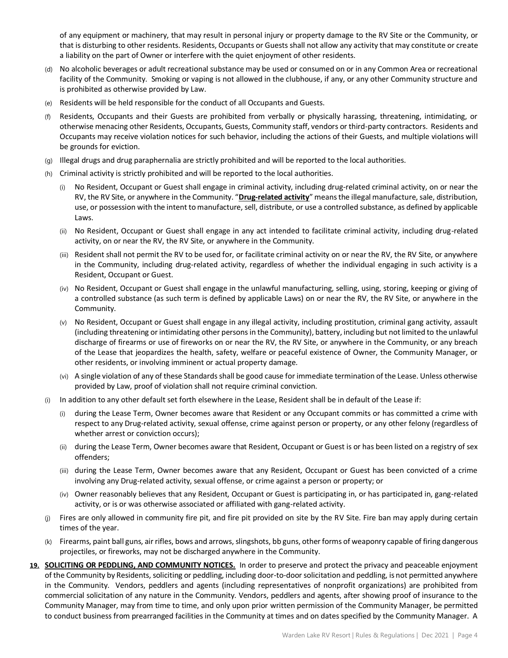of any equipment or machinery, that may result in personal injury or property damage to the RV Site or the Community, or that is disturbing to other residents. Residents, Occupants or Guests shall not allow any activity that may constitute or create a liability on the part of Owner or interfere with the quiet enjoyment of other residents.

- (d) No alcoholic beverages or adult recreational substance may be used or consumed on or in any Common Area or recreational facility of the Community. Smoking or vaping is not allowed in the clubhouse, if any, or any other Community structure and is prohibited as otherwise provided by Law.
- (e) Residents will be held responsible for the conduct of all Occupants and Guests.
- (f) Residents, Occupants and their Guests are prohibited from verbally or physically harassing, threatening, intimidating, or otherwise menacing other Residents, Occupants, Guests, Community staff, vendors or third-party contractors. Residents and Occupants may receive violation notices for such behavior, including the actions of their Guests, and multiple violations will be grounds for eviction.
- (g) Illegal drugs and drug paraphernalia are strictly prohibited and will be reported to the local authorities.
- (h) Criminal activity is strictly prohibited and will be reported to the local authorities.
	- No Resident, Occupant or Guest shall engage in criminal activity, including drug-related criminal activity, on or near the RV, the RV Site, or anywhere in the Community. "**Drug-related activity**" means the illegal manufacture, sale, distribution, use, or possession with the intent to manufacture, sell, distribute, or use a controlled substance, as defined by applicable Laws.
	- (ii) No Resident, Occupant or Guest shall engage in any act intended to facilitate criminal activity, including drug-related activity, on or near the RV, the RV Site, or anywhere in the Community.
	- (iii) Resident shall not permit the RV to be used for, or facilitate criminal activity on or near the RV, the RV Site, or anywhere in the Community, including drug-related activity, regardless of whether the individual engaging in such activity is a Resident, Occupant or Guest.
	- (iv) No Resident, Occupant or Guest shall engage in the unlawful manufacturing, selling, using, storing, keeping or giving of a controlled substance (as such term is defined by applicable Laws) on or near the RV, the RV Site, or anywhere in the Community.
	- (v) No Resident, Occupant or Guest shall engage in any illegal activity, including prostitution, criminal gang activity, assault (including threatening or intimidating other persons in the Community), battery, including but not limited to the unlawful discharge of firearms or use of fireworks on or near the RV, the RV Site, or anywhere in the Community, or any breach of the Lease that jeopardizes the health, safety, welfare or peaceful existence of Owner, the Community Manager, or other residents, or involving imminent or actual property damage.
	- (vi) A single violation of any of these Standards shall be good cause for immediate termination of the Lease. Unless otherwise provided by Law, proof of violation shall not require criminal conviction.
- (i) In addition to any other default set forth elsewhere in the Lease, Resident shall be in default of the Lease if:
	- (i) during the Lease Term, Owner becomes aware that Resident or any Occupant commits or has committed a crime with respect to any Drug-related activity, sexual offense, crime against person or property, or any other felony (regardless of whether arrest or conviction occurs);
	- (ii) during the Lease Term, Owner becomes aware that Resident, Occupant or Guest is or has been listed on a registry of sex offenders;
	- (iii) during the Lease Term, Owner becomes aware that any Resident, Occupant or Guest has been convicted of a crime involving any Drug-related activity, sexual offense, or crime against a person or property; or
	- (iv) Owner reasonably believes that any Resident, Occupant or Guest is participating in, or has participated in, gang-related activity, or is or was otherwise associated or affiliated with gang-related activity.
- (j) Fires are only allowed in community fire pit, and fire pit provided on site by the RV Site. Fire ban may apply during certain times of the year.
- (k) Firearms, paint ball guns, air rifles, bows and arrows, slingshots, bb guns, other forms of weaponry capable of firing dangerous projectiles, or fireworks, may not be discharged anywhere in the Community.
- **19. SOLICITING OR PEDDLING, AND COMMUNITY NOTICES.** In order to preserve and protect the privacy and peaceable enjoyment of the Community by Residents, soliciting or peddling, including door-to-door solicitation and peddling, is not permitted anywhere in the Community. Vendors, peddlers and agents (including representatives of nonprofit organizations) are prohibited from commercial solicitation of any nature in the Community. Vendors, peddlers and agents, after showing proof of insurance to the Community Manager, may from time to time, and only upon prior written permission of the Community Manager, be permitted to conduct business from prearranged facilities in the Community at times and on dates specified by the Community Manager. A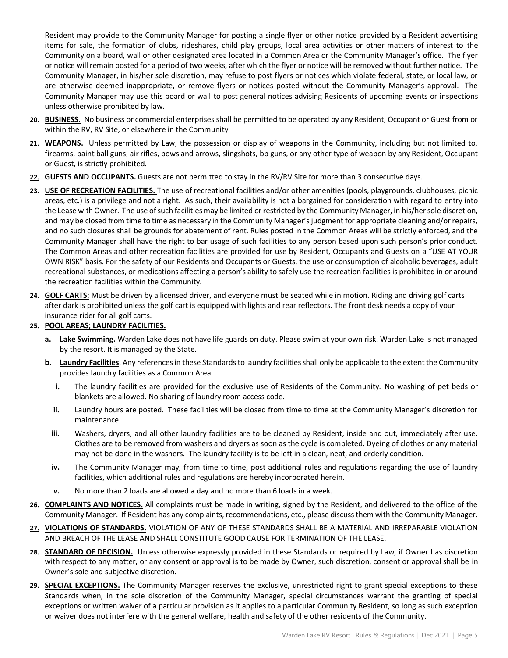Resident may provide to the Community Manager for posting a single flyer or other notice provided by a Resident advertising items for sale, the formation of clubs, rideshares, child play groups, local area activities or other matters of interest to the Community on a board, wall or other designated area located in a Common Area or the Community Manager's office. The flyer or notice will remain posted for a period of two weeks, after which the flyer or notice will be removed without further notice. The Community Manager, in his/her sole discretion, may refuse to post flyers or notices which violate federal, state, or local law, or are otherwise deemed inappropriate, or remove flyers or notices posted without the Community Manager's approval. The Community Manager may use this board or wall to post general notices advising Residents of upcoming events or inspections unless otherwise prohibited by law.

- **20. BUSINESS.** No business or commercial enterprises shall be permitted to be operated by any Resident, Occupant or Guest from or within the RV, RV Site, or elsewhere in the Community
- **21. WEAPONS.** Unless permitted by Law, the possession or display of weapons in the Community, including but not limited to, firearms, paint ball guns, air rifles, bows and arrows, slingshots, bb guns, or any other type of weapon by any Resident, Occupant or Guest, is strictly prohibited.
- **22. GUESTS AND OCCUPANTS.** Guests are not permitted to stay in the RV/RV Site for more than 3 consecutive days.
- **23. USE OF RECREATION FACILITIES.** The use of recreational facilities and/or other amenities (pools, playgrounds, clubhouses, picnic areas, etc.) is a privilege and not a right. As such, their availability is not a bargained for consideration with regard to entry into the Lease with Owner. The use of such facilities may be limited or restricted by the Community Manager, in his/her sole discretion, and may be closed from time to time as necessary in the Community Manager's judgment for appropriate cleaning and/or repairs, and no such closures shall be grounds for abatement of rent. Rules posted in the Common Areas will be strictly enforced, and the Community Manager shall have the right to bar usage of such facilities to any person based upon such person's prior conduct. The Common Areas and other recreation facilities are provided for use by Resident, Occupants and Guests on a "USE AT YOUR OWN RISK" basis. For the safety of our Residents and Occupants or Guests, the use or consumption of alcoholic beverages, adult recreational substances, or medications affecting a person's ability to safely use the recreation facilities is prohibited in or around the recreation facilities within the Community.
- **24. GOLF CARTS:** Must be driven by a licensed driver, and everyone must be seated while in motion. Riding and driving golf carts after dark is prohibited unless the golf cart is equipped with lights and rear reflectors. The front desk needs a copy of your insurance rider for all golf carts.

### **25. POOL AREAS; LAUNDRY FACILITIES.**

- **a. Lake Swimming.** Warden Lake does not have life guards on duty. Please swim at your own risk. Warden Lake is not managed by the resort. It is managed by the State.
- **b. Laundry Facilities**. Any references in these Standards to laundry facilities shall only be applicable to the extent the Community provides laundry facilities as a Common Area.
	- **i.** The laundry facilities are provided for the exclusive use of Residents of the Community. No washing of pet beds or blankets are allowed. No sharing of laundry room access code.
	- **ii.** Laundry hours are posted. These facilities will be closed from time to time at the Community Manager's discretion for maintenance.
	- **iii.** Washers, dryers, and all other laundry facilities are to be cleaned by Resident, inside and out, immediately after use. Clothes are to be removed from washers and dryers as soon as the cycle is completed. Dyeing of clothes or any material may not be done in the washers. The laundry facility is to be left in a clean, neat, and orderly condition.
	- **iv.** The Community Manager may, from time to time, post additional rules and regulations regarding the use of laundry facilities, which additional rules and regulations are hereby incorporated herein.
	- **v.** No more than 2 loads are allowed a day and no more than 6 loads in a week.
- **26. COMPLAINTS AND NOTICES.** All complaints must be made in writing, signed by the Resident, and delivered to the office of the Community Manager. If Resident has any complaints, recommendations, etc., please discuss them with the Community Manager.
- **27. VIOLATIONS OF STANDARDS.** VIOLATION OF ANY OF THESE STANDARDS SHALL BE A MATERIAL AND IRREPARABLE VIOLATION AND BREACH OF THE LEASE AND SHALL CONSTITUTE GOOD CAUSE FOR TERMINATION OF THE LEASE.
- **28. STANDARD OF DECISION.** Unless otherwise expressly provided in these Standards or required by Law, if Owner has discretion with respect to any matter, or any consent or approval is to be made by Owner, such discretion, consent or approval shall be in Owner's sole and subjective discretion.
- **29. SPECIAL EXCEPTIONS.** The Community Manager reserves the exclusive, unrestricted right to grant special exceptions to these Standards when, in the sole discretion of the Community Manager, special circumstances warrant the granting of special exceptions or written waiver of a particular provision as it applies to a particular Community Resident, so long as such exception or waiver does not interfere with the general welfare, health and safety of the other residents of the Community.